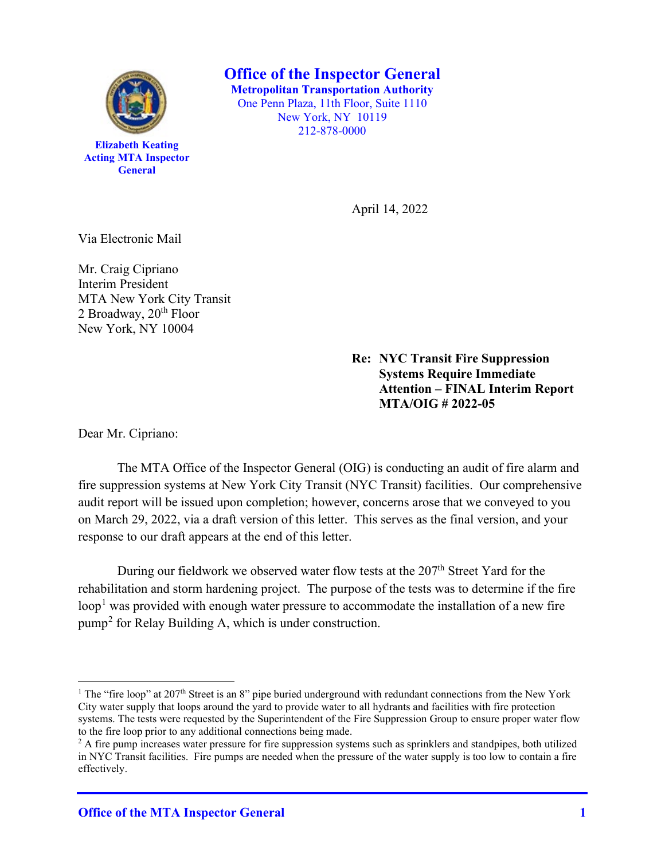

**Elizabeth Keating Acting MTA Inspector General**

**Office of the Inspector General Metropolitan Transportation Authority** One Penn Plaza, 11th Floor, Suite 1110 New York, NY 10119 212-878-0000

April 14, 2022

Via Electronic Mail

Mr. Craig Cipriano Interim President MTA New York City Transit 2 Broadway,  $20<sup>th</sup>$  Floor New York, NY 10004

> **Re: NYC Transit Fire Suppression Systems Require Immediate Attention – FINAL Interim Report MTA/OIG # 2022-05**

Dear Mr. Cipriano:

The MTA Office of the Inspector General (OIG) is conducting an audit of fire alarm and fire suppression systems at New York City Transit (NYC Transit) facilities. Our comprehensive audit report will be issued upon completion; however, concerns arose that we conveyed to you on March 29, 2022, via a draft version of this letter. This serves as the final version, and your response to our draft appears at the end of this letter.

During our fieldwork we observed water flow tests at the  $207<sup>th</sup>$  Street Yard for the rehabilitation and storm hardening project. The purpose of the tests was to determine if the fire loop<sup>1</sup> was provided with enough water pressure to accommodate the installation of a new fire pump<sup>2</sup> for Relay Building A, which is under construction.

<sup>&</sup>lt;sup>1</sup> The "fire loop" at 207<sup>th</sup> Street is an 8" pipe buried underground with redundant connections from the New York City water supply that loops around the yard to provide water to all hydrants and facilities with fire protection systems. The tests were requested by the Superintendent of the Fire Suppression Group to ensure proper water flow to the fire loop prior to any additional connections being made.<br><sup>2</sup> A fire pump increases water pressure for fire suppression systems such as sprinklers and standpipes, both utilized

in NYC Transit facilities. Fire pumps are needed when the pressure of the water supply is too low to contain a fire effectively.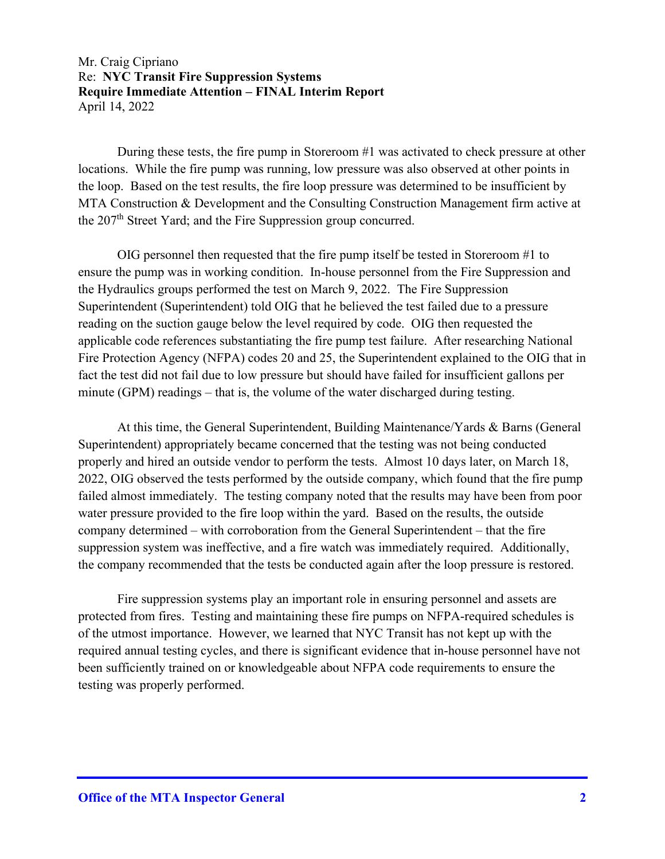During these tests, the fire pump in Storeroom #1 was activated to check pressure at other locations. While the fire pump was running, low pressure was also observed at other points in the loop. Based on the test results, the fire loop pressure was determined to be insufficient by MTA Construction & Development and the Consulting Construction Management firm active at the  $207<sup>th</sup>$  Street Yard; and the Fire Suppression group concurred.

OIG personnel then requested that the fire pump itself be tested in Storeroom #1 to ensure the pump was in working condition. In-house personnel from the Fire Suppression and the Hydraulics groups performed the test on March 9, 2022. The Fire Suppression Superintendent (Superintendent) told OIG that he believed the test failed due to a pressure reading on the suction gauge below the level required by code. OIG then requested the applicable code references substantiating the fire pump test failure. After researching National Fire Protection Agency (NFPA) codes 20 and 25, the Superintendent explained to the OIG that in fact the test did not fail due to low pressure but should have failed for insufficient gallons per minute (GPM) readings – that is, the volume of the water discharged during testing.

At this time, the General Superintendent, Building Maintenance/Yards & Barns (General Superintendent) appropriately became concerned that the testing was not being conducted properly and hired an outside vendor to perform the tests. Almost 10 days later, on March 18, 2022, OIG observed the tests performed by the outside company, which found that the fire pump failed almost immediately. The testing company noted that the results may have been from poor water pressure provided to the fire loop within the yard. Based on the results, the outside company determined – with corroboration from the General Superintendent – that the fire suppression system was ineffective, and a fire watch was immediately required. Additionally, the company recommended that the tests be conducted again after the loop pressure is restored.

Fire suppression systems play an important role in ensuring personnel and assets are protected from fires. Testing and maintaining these fire pumps on NFPA-required schedules is of the utmost importance. However, we learned that NYC Transit has not kept up with the required annual testing cycles, and there is significant evidence that in-house personnel have not been sufficiently trained on or knowledgeable about NFPA code requirements to ensure the testing was properly performed.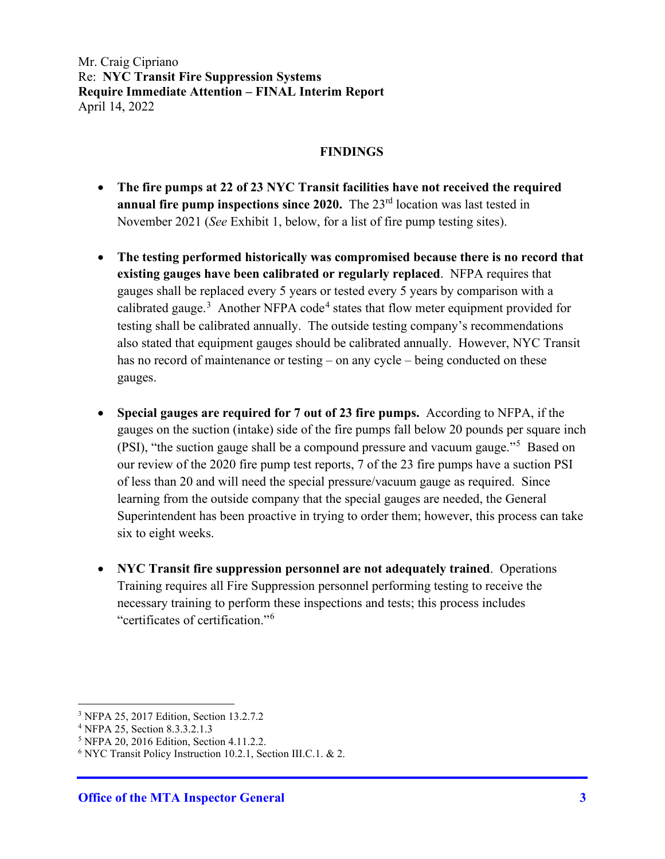#### **FINDINGS**

- **The fire pumps at 22 of 23 NYC Transit facilities have not received the required annual fire pump inspections since 2020.** The 23<sup>rd</sup> location was last tested in November 2021 (*See* Exhibit 1, below, for a list of fire pump testing sites).
- **The testing performed historically was compromised because there is no record that existing gauges have been calibrated or regularly replaced**. NFPA requires that gauges shall be replaced every 5 years or tested every 5 years by comparison with a calibrated gauge.<sup>3</sup> Another NFPA code<sup>4</sup> states that flow meter equipment provided for testing shall be calibrated annually. The outside testing company's recommendations also stated that equipment gauges should be calibrated annually. However, NYC Transit has no record of maintenance or testing – on any cycle – being conducted on these gauges.
- **Special gauges are required for 7 out of 23 fire pumps.** According to NFPA, if the gauges on the suction (intake) side of the fire pumps fall below 20 pounds per square inch (PSI), "the suction gauge shall be a compound pressure and vacuum gauge."<sup>5</sup> Based on our review of the 2020 fire pump test reports, 7 of the 23 fire pumps have a suction PSI of less than 20 and will need the special pressure/vacuum gauge as required. Since learning from the outside company that the special gauges are needed, the General Superintendent has been proactive in trying to order them; however, this process can take six to eight weeks.
- **NYC Transit fire suppression personnel are not adequately trained**. Operations Training requires all Fire Suppression personnel performing testing to receive the necessary training to perform these inspections and tests; this process includes "certificates of certification."<sup>6</sup>

<sup>&</sup>lt;sup>3</sup> NFPA 25, 2017 Edition, Section 13.2.7.2<br><sup>4</sup> NFPA 25, Section 8.3.3.2.1.3

<sup>&</sup>lt;sup>5</sup> NFPA 20, 2016 Edition, Section 4.11.2.2.<br><sup>6</sup> NYC Transit Policy Instruction 10.2.1, Section III.C.1. & 2.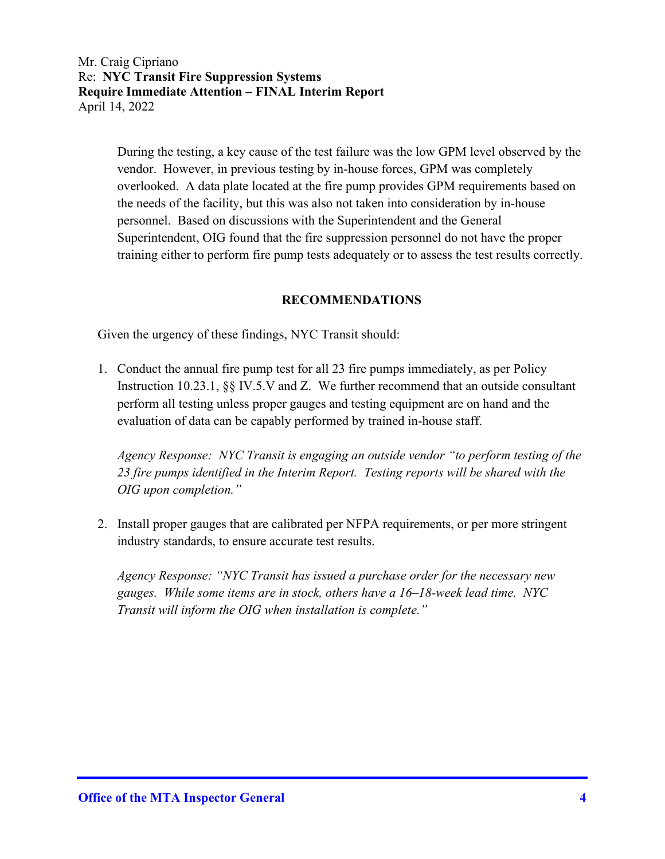During the testing, a key cause of the test failure was the low GPM level observed by the vendor. However, in previous testing by in-house forces, GPM was completely overlooked. A data plate located at the fire pump provides GPM requirements based on the needs of the facility, but this was also not taken into consideration by in-house personnel. Based on discussions with the Superintendent and the General Superintendent, OIG found that the fire suppression personnel do not have the proper training either to perform fire pump tests adequately or to assess the test results correctly.

## **RECOMMENDATIONS**

Given the urgency of these findings, NYC Transit should:

1. Conduct the annual fire pump test for all 23 fire pumps immediately, as per Policy Instruction 10.23.1, §§ IV.5.V and Z. We further recommend that an outside consultant perform all testing unless proper gauges and testing equipment are on hand and the evaluation of data can be capably performed by trained in-house staff.

*Agency Response: NYC Transit is engaging an outside vendor "to perform testing of the 23 fire pumps identified in the Interim Report. Testing reports will be shared with the OIG upon completion."* 

2. Install proper gauges that are calibrated per NFPA requirements, or per more stringent industry standards, to ensure accurate test results.

*Agency Response: "NYC Transit has issued a purchase order for the necessary new gauges. While some items are in stock, others have a 16–18-week lead time. NYC Transit will inform the OIG when installation is complete."*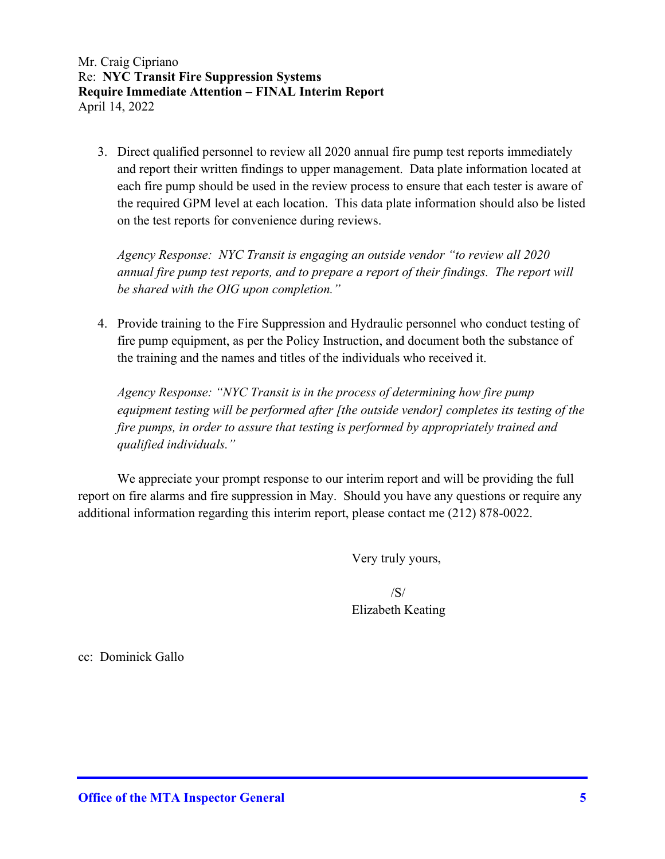3. Direct qualified personnel to review all 2020 annual fire pump test reports immediately and report their written findings to upper management. Data plate information located at each fire pump should be used in the review process to ensure that each tester is aware of the required GPM level at each location. This data plate information should also be listed on the test reports for convenience during reviews.

*Agency Response: NYC Transit is engaging an outside vendor "to review all 2020 annual fire pump test reports, and to prepare a report of their findings. The report will be shared with the OIG upon completion."* 

4. Provide training to the Fire Suppression and Hydraulic personnel who conduct testing of fire pump equipment, as per the Policy Instruction, and document both the substance of the training and the names and titles of the individuals who received it.

*Agency Response: "NYC Transit is in the process of determining how fire pump equipment testing will be performed after [the outside vendor] completes its testing of the fire pumps, in order to assure that testing is performed by appropriately trained and qualified individuals."* 

We appreciate your prompt response to our interim report and will be providing the full report on fire alarms and fire suppression in May. Should you have any questions or require any additional information regarding this interim report, please contact me (212) 878-0022.

Very truly yours,

 /S/ Elizabeth Keating

cc: Dominick Gallo